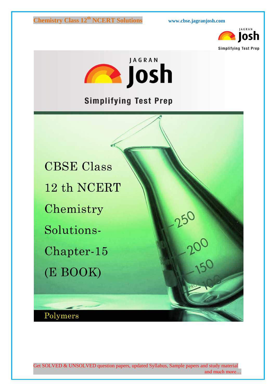



**Simplifying Test Prep** 

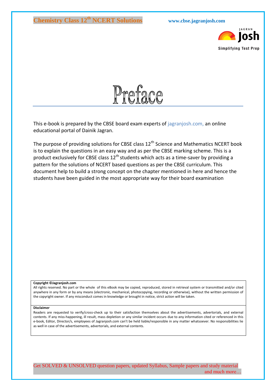



This e-book is prepared by the CBSE board exam experts of jagranjosh.com, an online educational portal of Dainik Jagran.

The purpose of providing solutions for CBSE class  $12<sup>th</sup>$  Science and Mathematics NCERT book is to explain the questions in an easy way and as per the CBSE marking scheme. This is a product exclusively for CBSE class  $12<sup>th</sup>$  students which acts as a time-saver by providing a pattern for the solutions of NCERT based questions as per the CBSE curriculum. This document help to build a strong concept on the chapter mentioned in here and hence the students have been guided in the most appropriate way for their board examination

#### **Copyright ©Jagranjosh.com**

All rights reserved. No part or the whole of this eBook may be copied, reproduced, stored in retrieval system or transmitted and/or cited anywhere in any form or by any means (electronic, mechanical, photocopying, recording or otherwise), without the written permission of the copyright owner. If any misconduct comes in knowledge or brought in notice, strict action will be taken.

#### **Disclaimer**

Readers are requested to verify/cross-check up to their satisfaction themselves about the advertisements, advertorials, and external contents. If any miss-happening, ill result, mass depletion or any similar incident occurs due to any information cited or referenced in this e-book, Editor, Director/s, employees of Jagranjosh.com can't be held liable/responsible in any matter whatsoever. No responsibilities lie as well in case of the advertisements, advertorials, and external contents.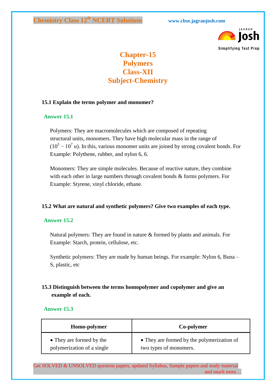

# **Chapter-15 Polymers Class-XII Subject-Chemistry**

#### **15.1 Explain the terms polymer and monomer?**

#### **Answer 15.1**

Polymers: They are macromolecules which are composed of repeating structural units, monomers. They have high molecular mass in the range of  $(10^3 - 10^7 u)$ . In this, various monomer units are joined by strong covalent bonds. For Example: Polythene, rubber, and nylon 6, 6.

Monomers: They are simple molecules. Because of reactive nature, they combine with each other in large numbers through covalent bonds & forms polymers. For Example: Styrene, vinyl chloride, ethane.

#### **15.2 What are natural and synthetic polymers? Give two examples of each type.**

#### **Answer 15.2**

Natural polymers: They are found in nature & formed by plants and animals. For Example: Starch, protein, cellulose, etc.

Synthetic polymers: They are made by human beings. For example: Nylon 6, Buna – S, plastic, etc

## **15.3 Distinguish between the terms homopolymer and copolymer and give an example of each.**

#### **Answer 15.3**

| Homo-polymer               | Co-polymer                                 |
|----------------------------|--------------------------------------------|
| • They are formed by the   | • They are formed by the polymerization of |
| polymerization of a single | two types of monomers.                     |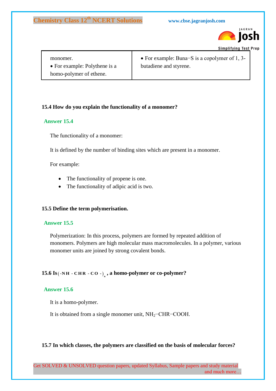

**Simplifying Test Prep** 

| monomer.                      | • For example: Buna–S is a copolymer of 1, 3- |
|-------------------------------|-----------------------------------------------|
| • For example: Polythene is a | butadiene and styrene.                        |
| homo-polymer of ethene.       |                                               |

## **15.4 How do you explain the functionality of a monomer?**

#### **Answer 15.4**

The functionality of a monomer:

It is defined by the number of binding sites which are present in a monomer.

For example:

- The functionality of propene is one.
- The functionality of adipic acid is two.

#### **15.5 Define the term polymerisation.**

#### **Answer 15.5**

Polymerization: In this process, polymers are formed by repeated addition of monomers. Polymers are high molecular mass macromolecules. In a polymer, various monomer units are joined by strong covalent bonds.

# **15.6 Is**( $\cdot$ NH  $\cdot$  CHR  $\cdot$  CO  $\cdot$ )<sub>n</sub>, a homo-polymer or co-polymer?

#### **Answer 15.6**

It is a homo-polymer.

It is obtained from a single monomer unit, NH<sub>2</sub>−CHR−COOH.

#### **15.7 In which classes, the polymers are classified on the basis of molecular forces?**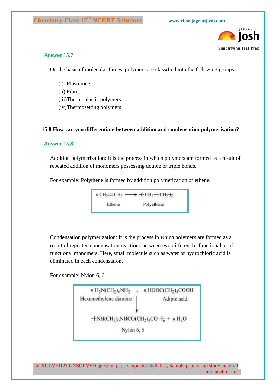

#### **Answer 15.7**

On the basis of molecular forces, polymers are classified into the following groups:

- (i) Elastomers
- (ii) Fibres
- (iii)Thermoplastic polymers
- (iv)Thermosetting polymers

#### **15.8 How can you differentiate between addition and condensation polymerisation?**

#### **Answer 15.8**

Addition polymerization: It is the process in which polymers are formed as a result of repeated addition of monomers possessing double or triple bonds.

For example: Polythene is formed by addition polymerization of ethene.

 $n \text{CH}_2 = \text{CH}_2 \longrightarrow \text{CH}_2 - \text{CH}_2 \rightarrow \pi$ Polyethene Ethene

Condensation polymerization: It is the process in which polymers are formed as a result of repeated condensation reactions between two different bi-functional or trifunctional monomers. Here, small molecule such as water or hydrochloric acid is eliminated in each condensation.

For example: Nylon 6, 6

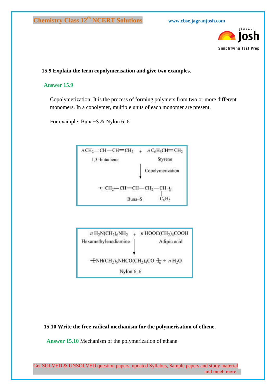

### **15.9 Explain the term copolymerisation and give two examples.**

#### **Answer 15.9**

Copolymerization: It is the process of forming polymers from two or more different monomers. In a copolymer, multiple units of each monomer are present.

For example: Buna−S & Nylon 6, 6





**15.10 Write the free radical mechanism for the polymerisation of ethene.**

 **Answer 15.10** Mechanism of the polymerization of ethane: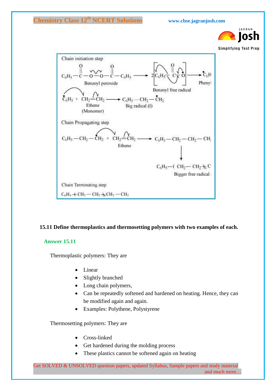

**Simplifying Test Prep** 



#### **15.11 Define thermoplastics and thermosetting polymers with two examples of each.**

#### **Answer 15.11**

Thermoplastic polymers: They are

- Linear
- Slightly branched
- Long chain polymers,
- Can be repeatedly softened and hardened on heating. Hence, they can be modified again and again.
- Examples: Polythene, Polystyrene

Thermosetting polymers: They are

- Cross-linked
- Get hardened during the molding process
- These plastics cannot be softened again on heating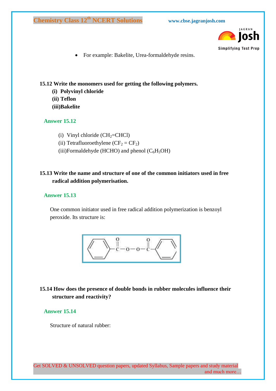

For example: Bakelite, Urea-formaldehyde resins.

### **15.12 Write the monomers used for getting the following polymers.**

- **(i) Polyvinyl chloride**
- **(ii) Teflon**
- **(iii)Bakelite**

## **Answer 15.12**

- (i) Vinyl chloride  $(CH_2=CHCl)$
- (ii) Tetrafluoroethylene  $(CF_2 = CF_2)$
- (iii)Formaldehyde (HCHO) and phenol  $(C_6H_5OH)$

## **15.13 Write the name and structure of one of the common initiators used in free radical addition polymerisation.**

### **Answer 15.13**

One common initiator used in free radical addition polymerization is benzoyl peroxide. Its structure is:



## **15.14 How does the presence of double bonds in rubber molecules influence their structure and reactivity?**

#### **Answer 15.14**

Structure of natural rubber: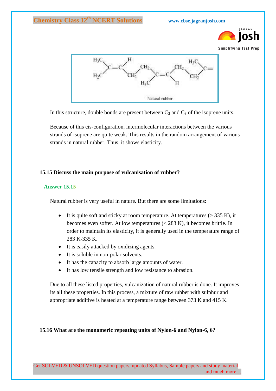



In this structure, double bonds are present between  $C_2$  and  $C_3$  of the isoprene units.

Because of this cis-configuration, intermolecular interactions between the various strands of isoprene are quite weak. This results in the random arrangement of various strands in natural rubber. Thus, it shows elasticity.

#### **15.15 Discuss the main purpose of vulcanisation of rubber?**

#### **Answer 15.15**

Natural rubber is very useful in nature. But there are some limitations:

- It is quite soft and sticky at room temperature. At temperatures  $(> 335 \text{ K})$ , it becomes even softer. At low temperatures (< 283 K), it becomes brittle. In order to maintain its elasticity, it is generally used in the temperature range of 283 K-335 K.
- It is easily attacked by oxidizing agents.
- It is soluble in non-polar solvents.
- It has the capacity to absorb large amounts of water.
- It has low tensile strength and low resistance to abrasion.

Due to all these listed properties, vulcanization of natural rubber is done. It improves its all these properties. In this process, a mixture of raw rubber with sulphur and appropriate additive is heated at a temperature range between 373 K and 415 K.

#### **15.16 What are the monomeric repeating units of Nylon-6 and Nylon-6, 6?**